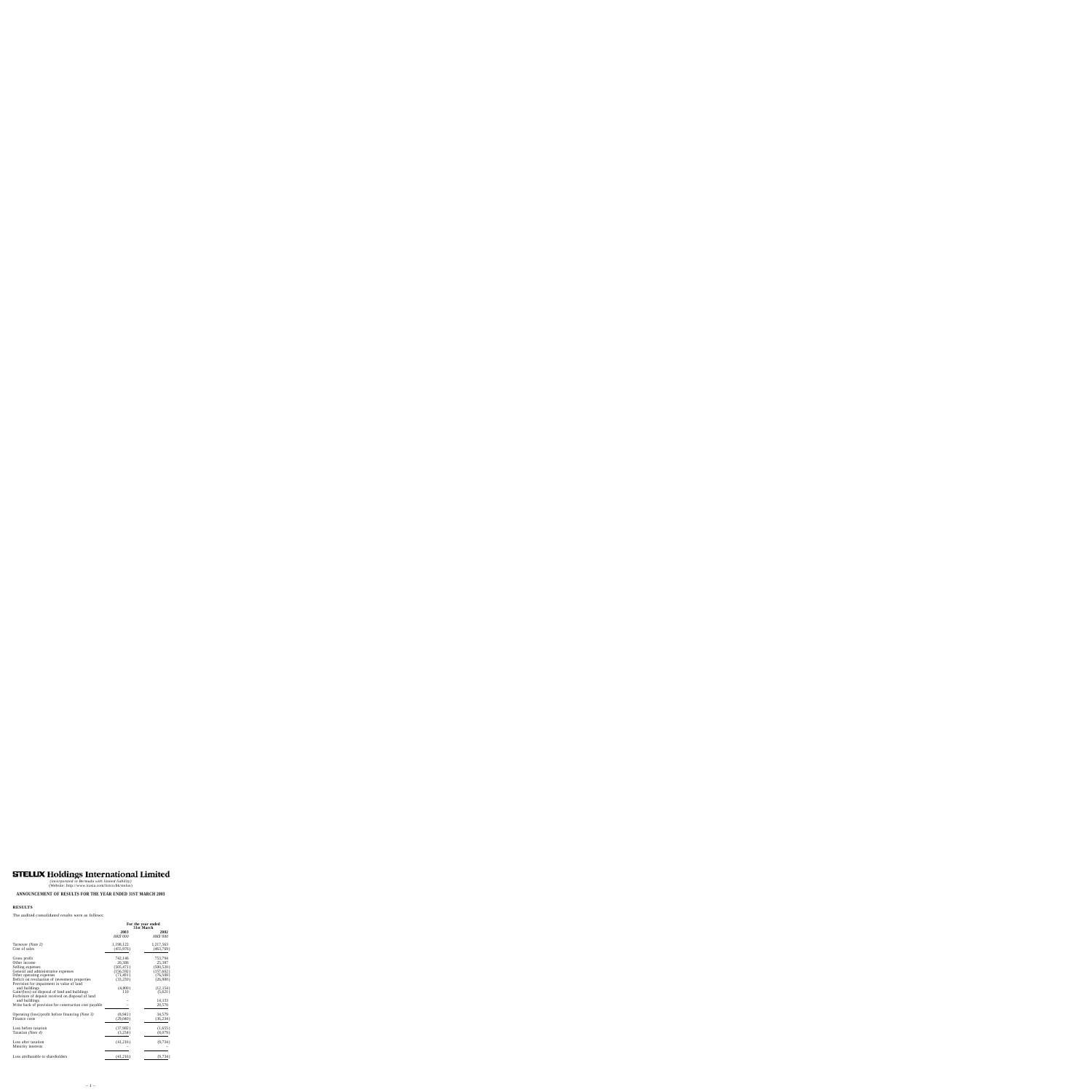# **STELUX Holdings International Limited**

*(incorporated in Bermuda with limited liability)* (Website: http://www.irasia.com/listco/hk/stelux)

# **ANNOUNCEMENT OF RESULTS FOR THE YEAR ENDED 31ST MARCH 2003**

#### **RESULTS**

The audited consolidated results were as follows:

|                                                       | For the year ended<br>31st March |                  |  |
|-------------------------------------------------------|----------------------------------|------------------|--|
|                                                       | 2003<br>HK\$'000                 | 2002<br>HK\$'000 |  |
| Turnover (Note 2)                                     | 1,198,122                        | 1,217,563        |  |
| Cost of sales                                         | (455, 976)                       | (463,769)        |  |
| Gross profit                                          | 742,146                          | 753,794          |  |
| Other income                                          | 20,386                           | 25,387           |  |
| Selling expenses                                      | (505, 471)                       | (500, 520)       |  |
| General and administrative expenses                   | (156, 592)                       | (157, 602)       |  |
| Other operating expenses                              | (71, 491)                        | (76,508)         |  |
| Deficit on revaluation of investment properties       | (33, 230)                        | (26,900)         |  |
| Provision for impairment in value of land             |                                  |                  |  |
| and buildings                                         | (4,800)                          | (12, 154)        |  |
| Gain/(loss) on disposal of land and buildings         | 110                              | (5,621)          |  |
| Forfeiture of deposit received on disposal of land    |                                  |                  |  |
| and buildings                                         |                                  | 14,133           |  |
| Write back of provision for construction cost payable |                                  | 20,570           |  |
| Operating (loss)/profit before financing (Note 3)     | (8,942)                          | 34,579           |  |
| Finance costs                                         | (29,040)                         | (36, 234)        |  |
|                                                       |                                  |                  |  |
| Loss before taxation                                  | (37, 982)                        | (1,655)          |  |
| Taxation (Note 4)                                     | (3,234)                          | (8,079)          |  |
| Loss after taxation                                   | (41,216)                         | (9, 734)         |  |
| Minority interests                                    |                                  |                  |  |
| Loss attributable to shareholders                     | (41,216)                         | (9, 734)         |  |
|                                                       |                                  |                  |  |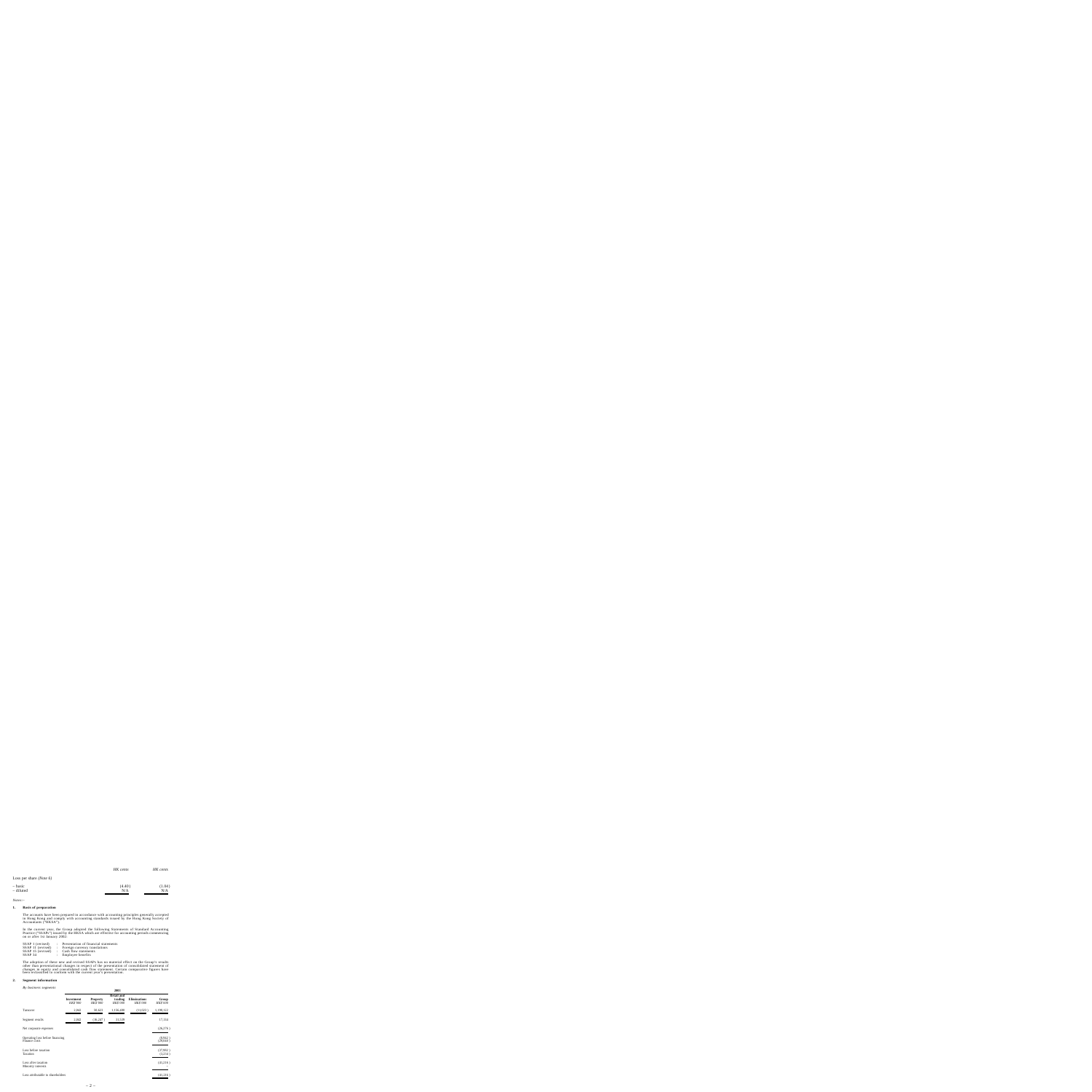|                                    | HK cents | HK cents |
|------------------------------------|----------|----------|
| Loss per share ( <i>Note</i> $6$ ) |          |          |
| – basic                            | (4.40)   | (1.04)   |
| - diluted                          | N/A      | N/A      |

*Notes:–*

#### **1.Basis of preparation**

The accounts have been prepared in accordance with accounting principles generally accepted in Hong Kong and comply with accounting standards issued by the Hong Kong Society of Accountants ("HKSA").

In the current year, the Group adopted the following Statements of Standard Accounting Practice ("SSAPs") issued by the HKSA which are effective for accounting periods commencing on or after 1st January 2002:

| : Presentation of financial statements |
|----------------------------------------|
| : Foreign currency translations        |
| : Cash flow statements                 |
| : Employee benefits                    |
|                                        |

The adoption of these new and revised SSAPs has no material effect on the Group's results other than presentational changes in respect of the presentation of consolidated statement of changes in equity and consolidated cash flow statement. Certain comparative figures have been reclassified to conform with the current year's presentation.

#### **2.Segment information**

*By business segments*

|                                                  | 2003                   |                             |                                          |                                 |                     |
|--------------------------------------------------|------------------------|-----------------------------|------------------------------------------|---------------------------------|---------------------|
|                                                  | Investment<br>HK\$'000 | <b>Property</b><br>HK\$'000 | <b>Retail and</b><br>trading<br>HK\$'000 | <b>Eliminations</b><br>HK\$'000 | Group<br>HK\$'000   |
| Turnover                                         | 2,042                  | 50,623                      | 1,156,480                                | (11,023)                        | 1,198,122           |
| Segment results                                  | 2,042                  | (16, 247)                   | 31,539                                   |                                 | 17,334              |
| Net corporate expenses                           |                        |                             |                                          |                                 | (26, 276)           |
| Operating loss before financing<br>Finance costs |                        |                             |                                          |                                 | (8,942)<br>(29,040) |
| Loss before taxation<br>Taxation                 |                        |                             |                                          |                                 | (37,982)<br>(3,234) |
| Loss after taxation<br>Minority interests        |                        |                             |                                          |                                 | (41,216)            |
| Loss attributable to shareholders                |                        |                             |                                          |                                 | (41,216)            |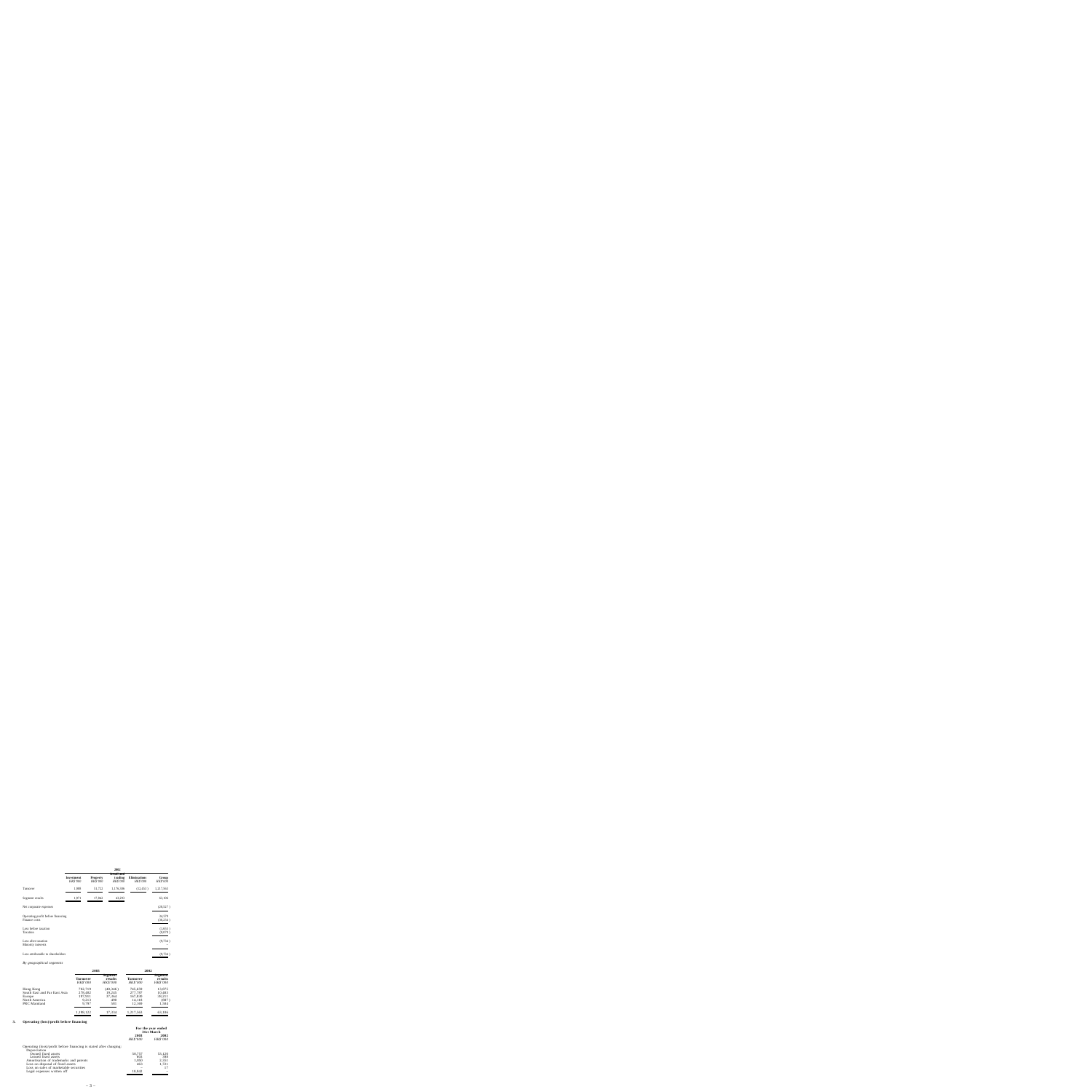|                                                    | 2002                   |                             |                                          |                          |                     |
|----------------------------------------------------|------------------------|-----------------------------|------------------------------------------|--------------------------|---------------------|
|                                                    | Investment<br>HK\$'000 | <b>Property</b><br>HK\$'000 | <b>Retail and</b><br>trading<br>HK\$'000 | Eliminations<br>HK\$'000 | Group<br>HK\$'000   |
| Turnover                                           | 1,988                  | 51,722                      | 1,176,306                                | (12, 453)                | 1,217,563           |
| Segment results                                    | 1,971                  | 17,842                      | 43,293                                   |                          | 63,106              |
| Net corporate expenses                             |                        |                             |                                          |                          | (28,527)            |
| Operating profit before financing<br>Finance costs |                        |                             |                                          |                          | 34,579<br>(36, 234) |
| Loss before taxation<br>Taxation                   |                        |                             |                                          |                          | (1,655)<br>(8,079)  |
| Loss after taxation<br>Minority interests          |                        |                             |                                          |                          | (9, 734)            |
| Loss attributable to shareholders                  |                        |                             |                                          |                          | (9, 734)            |

# *By geographical segments*

|                                                                                      | 2003                                            |                                             | 2002                                              |                                              |
|--------------------------------------------------------------------------------------|-------------------------------------------------|---------------------------------------------|---------------------------------------------------|----------------------------------------------|
|                                                                                      | Turnover<br>HK\$'000                            | Segment<br>results<br>HK\$'000              | Turnover<br>HK\$'000                              | Segment<br>results<br>HK\$'000               |
| Hong Kong<br>South East and Far East Asia<br>Europe<br>North America<br>PRC Mainland | 702,719<br>278,482<br>197,911<br>9,213<br>9,797 | (40, 346)<br>19,245<br>37,364<br>490<br>581 | 745,659<br>277,787<br>167,830<br>14,118<br>12,169 | 13,875<br>10,403<br>38,211<br>(887)<br>1,504 |
|                                                                                      | 1,198,122                                       | 17,334                                      | 1,217,563                                         | 63,106                                       |

# **3.Operating (loss)/profit before financing**

|                                                                    | For the year ended<br>31st March |                  |
|--------------------------------------------------------------------|----------------------------------|------------------|
|                                                                    | 2003<br>HK\$'000                 | 2002<br>HK\$'000 |
| Operating (loss)/profit before financing is stated after charging: |                                  |                  |
| Depreciation                                                       |                                  |                  |
| Owned fixed assets                                                 | 50,757                           | 53,120           |
| Leased fixed assets                                                | 603                              | 398              |
| Amortisation of trademarks and patents                             | 1,850                            | 2,351            |
| Loss on disposal of fixed assets                                   | 463                              | 1,721            |
| Loss on sales of marketable securities                             |                                  | 17               |
| Legal expenses written off                                         | 10,842                           |                  |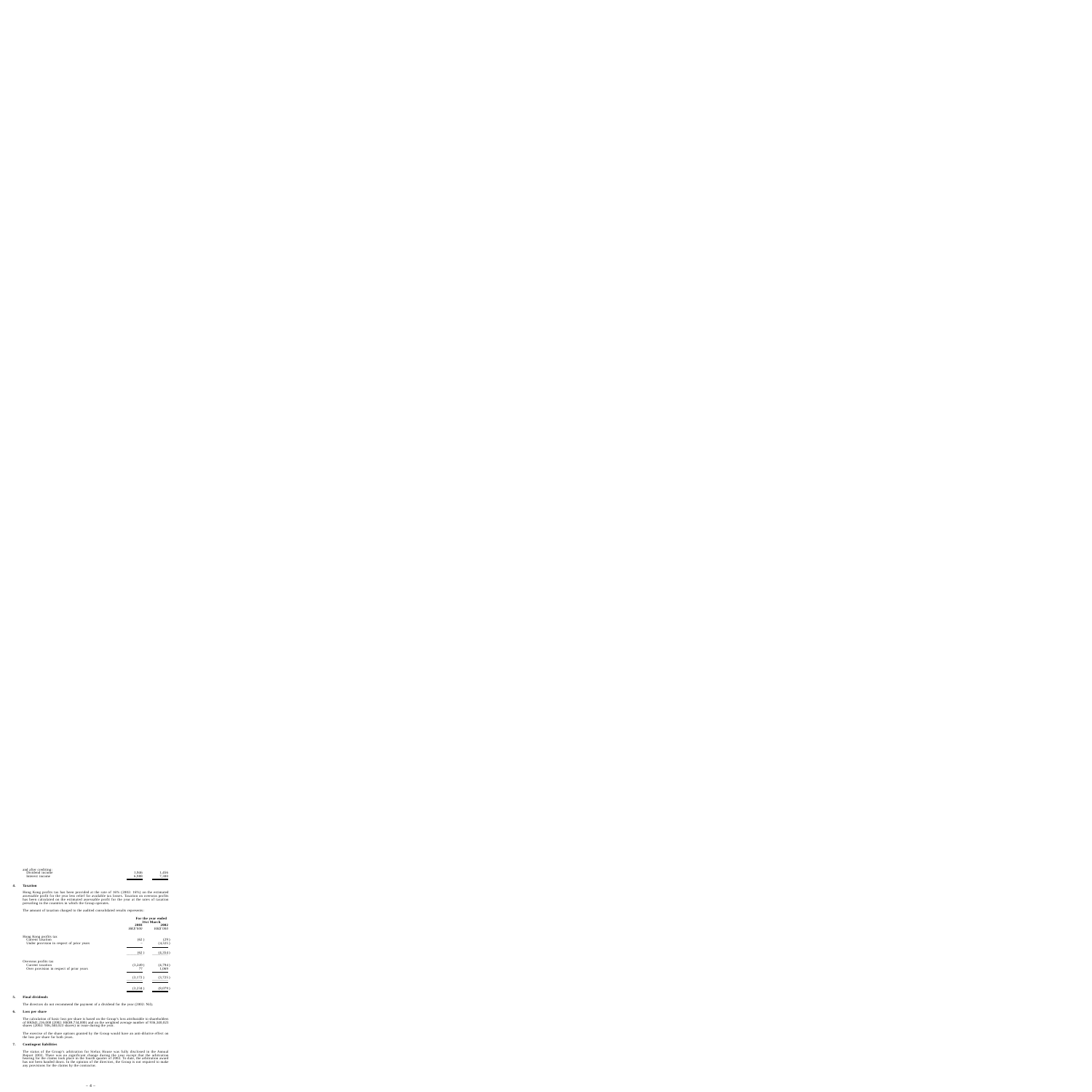| and after crediting: |       |       |
|----------------------|-------|-------|
| Dividend income      | 1,946 | 1,456 |
| Interest income      | 6,988 | 7,300 |
|                      |       |       |

#### **4.Taxation**

Hong Kong profits tax has been provided at the rate of 16% (2002: 16%) on the estimated assessable profit for the year less relief for available tax losses. Taxation on overseas profits has been calculated on the estimated assessable profit for the year at the rates of taxation prevailing in the countries in which the Group operates.

The amount of taxation charged to the audited consolidated results represents:

|                                                                                        | For the year ended<br>31st March |                  |
|----------------------------------------------------------------------------------------|----------------------------------|------------------|
|                                                                                        | 2003<br>HK\$'000                 | 2002<br>HK\$'000 |
| Hong Kong profits tax<br>Current taxation<br>Under provision in respect of prior years | (62)                             | (29)<br>(4,325)  |
|                                                                                        | (62)                             | (4,354)          |
| Overseas profits tax<br>Current taxation<br>Over provision in respect of prior years   | (3,249)<br>77                    | (4,794)<br>1,069 |
|                                                                                        | (3,172)                          | (3,725)          |
|                                                                                        | (3,234)                          | (8,079)          |

#### **5.Final dividends**

The directors do not recommend the payment of a dividend for the year (2002: Nil).

#### **6.Loss per share**

The calculation of basic loss per share is based on the Group's loss attributable to shareholders of HK\$41,216,000 (2002: HK\$9,734,000) and on the weighted average number of 936,340,023 shares (2002: 936,340,023 shares) in issue during the year.

The exercise of the share options granted by the Group would have an anti-dilutive effect on the loss per share for both years.

#### **7.Contingent liabilities**

The status of the Group's arbitration for Stelux House was fully disclosed in the Annual Report 2002. There was no significant change during the year except that the arbitration hearing for the claims took place in the fourth quarter of 2002. To date, the arbitration award has not been handed down. In the opinion of the directors, the Group is not required to make any provisions for the claims by the contractor.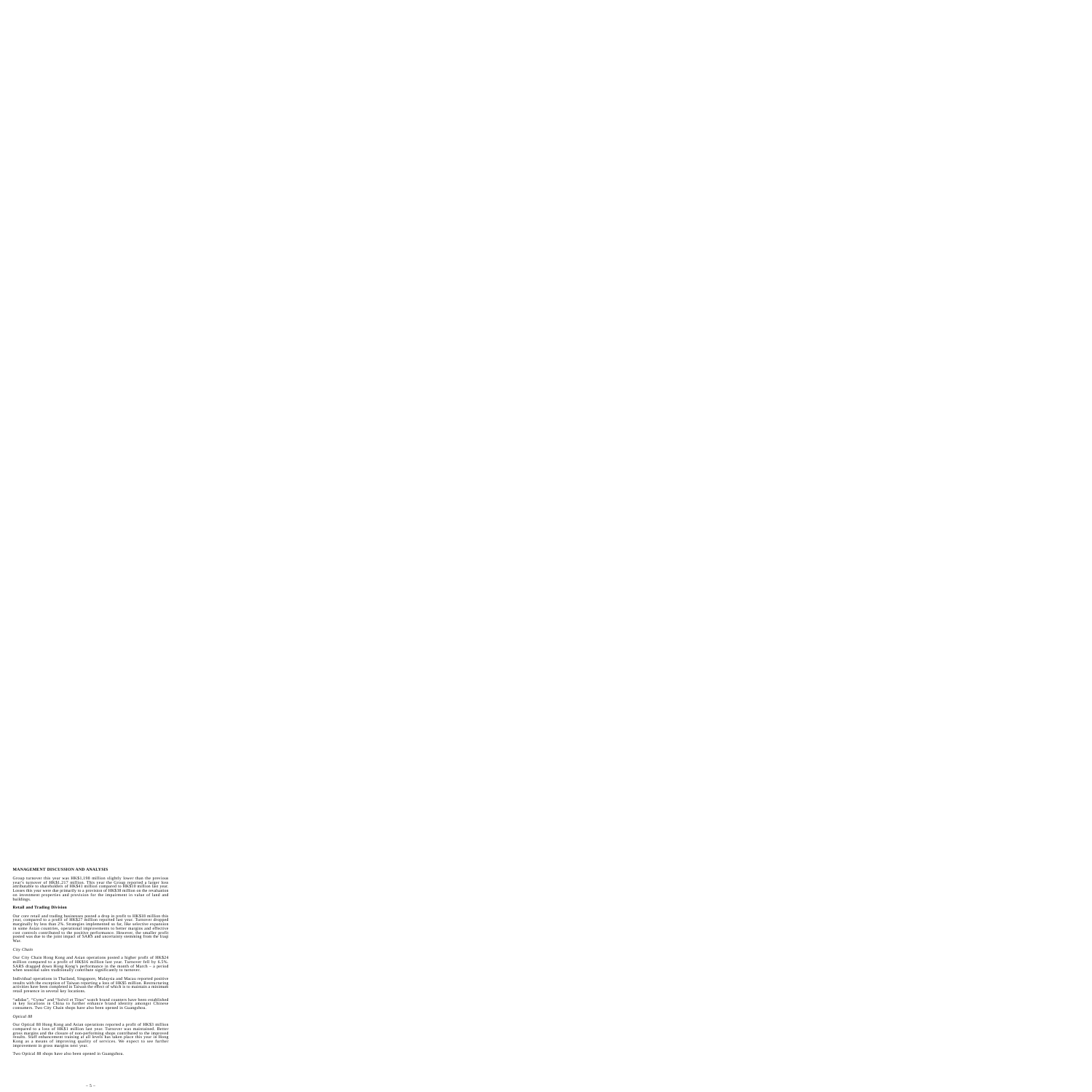# **MANAGEMENT DISCUSSION AND ANALYSIS**

Group turnover this year was HK\$1,198 million slightly lower than the previous year's turnover of HK\$1,217 million. This year the Group reported a larger loss attributable to shareholders of HK\$41 million compared to HK\$10 million last year. Losses this year were due primarily to a provision of HK\$38 million on the revaluation on investment properties and provision for the impairment in value of land and buildings.

## **Retail and Trading Division**

Our core retail and trading businesses posted a drop in profit to HK\$18 million this year, compared to a profit of HK\$27 million reported last year. Turnover dropped marginally by less than 2%. Strategies implemented so far, like selective expansion in some Asian countries, operational improvements to better margins and effective cost controls contributed to the positive performance. However, the smaller profit posted was due to the joint impact of SARS and uncertainty stemming from the Iraqi War.

*City Chain*

Our City Chain Hong Kong and Asian operations posted a higher profit of HK\$24 million compared to a profit of HK\$16 million last year. Turnover fell by 6.5%. SARS dragged down Hong Kong's performance in the month of March – a period when seasonal sales traditionally contribute significantly to turnover.

Individual operations in Thailand, Singapore, Malaysia and Macau reported positive results with the exception of Taiwan reporting a loss of HK\$5 million. Restructuring activities have been completed in Taiwan the effect of which is to maintain a minimum retail presence in several key locations.

"adidas", "Cyma" and "Solvil et Titus" watch brand counters have been established in key locations in China to further enhance brand identity amongst Chinese consumers. Two City Chain shops have also been opened in Guangzhou.

#### *Optical 88*

Our Optical 88 Hong Kong and Asian operations reported a profit of HK\$3 million compared to a loss of HK\$1 million last year. Turnover was maintained. Better gross margins and the closure of non-performing shops contributed to the improved results. Staff enhancement training at all levels has taken place this year in Hong Kong as a means of improving quality of services. We expect to see further improvement in gross margins next year.

Two Optical 88 shops have also been opened in Guangzhou.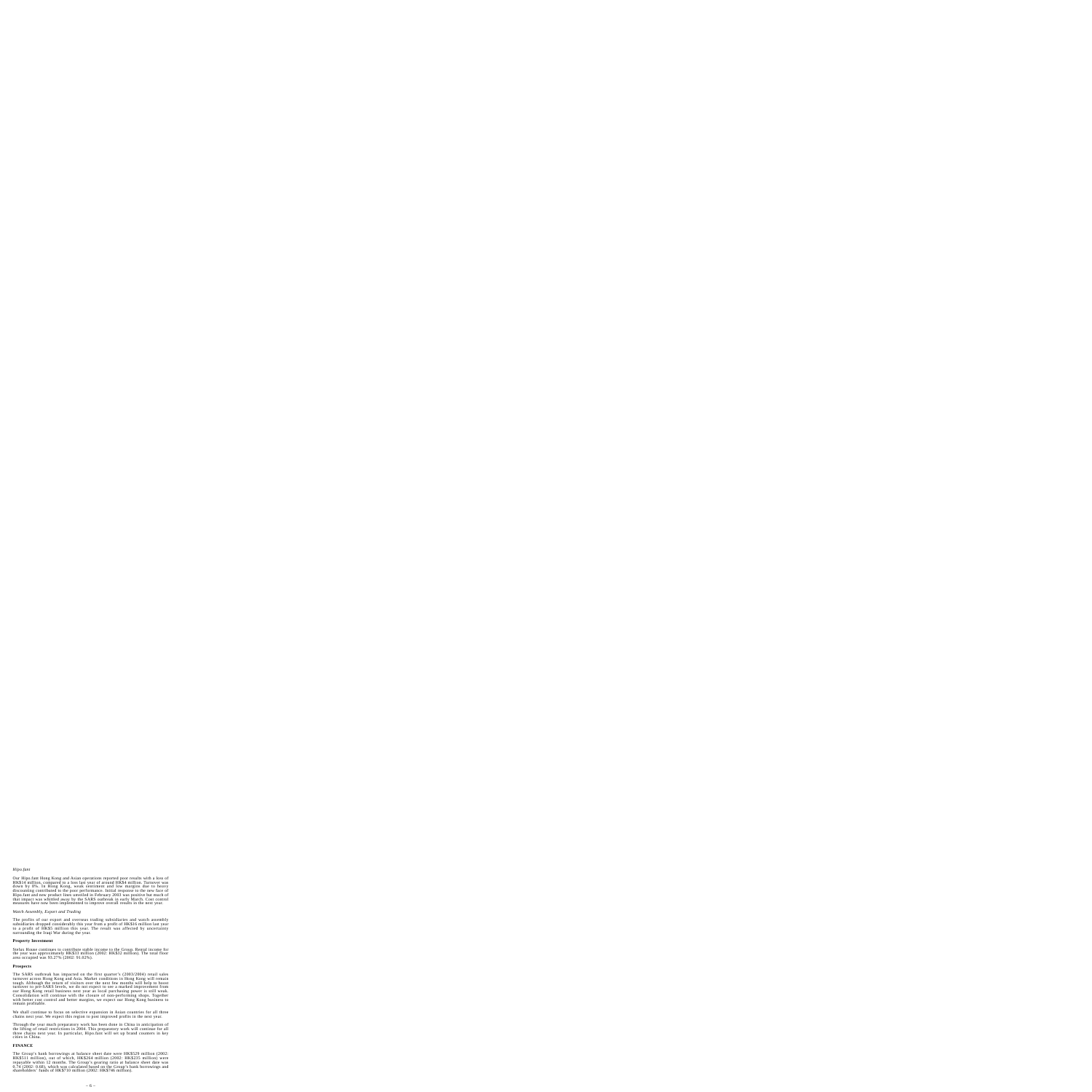## *Hipo.fant*

Our Hipo.fant Hong Kong and Asian operations reported poor results with a loss of HK\$14 million, compared to a loss last year of around HK\$4 million. Turnover was down by 8%. In Hong Kong, weak sentiment and low margins due to heavy discounting contributed to the poor performance. Initial response to the new face of Hipo.fant and new product lines unveiled in February 2003 was positive but much of that impact was whittled away by the SARS outbreak in early March. Cost control measures have now been implemented to improve overall results in the next year.

## *Watch Assembly, Export and Trading*

The profits of our export and overseas trading subsidiaries and watch assembly subsidiaries dropped considerably this year from a profit of HK\$16 million last year to a profit of HK\$5 million this year. The result was affected by uncertainty surrounding the Iraqi War during the year.

#### **Property Investment**

Stelux House continues to contribute stable income to the Group. Rental income for the year was approximately HK\$33 million (2002: HK\$32 million). The total floor area occupied was 93.27% (2002: 91.02%).

#### **Prospects**

The SARS outbreak has impacted on the first quarter's (2003/2004) retail sales turnover across Hong Kong and Asia. Market conditions in Hong Kong will remain tough. Although the return of visitors over the next few months will help to boost turnover to pre-SARS levels, we do not expect to see a marked improvement from our Hong Kong retail business next year as local purchasing power is still weak. Consolidation will continue with the closure of non-performing shops. Together with better cost control and better margins, we expect our Hong Kong business to remain profitable.

We shall continue to focus on selective expansion in Asian countries for all three chains next year. We expect this region to post improved profits in the next year.

Through the year much preparatory work has been done in China in anticipation of the lifting of retail restrictions in 2004. This preparatory work will continue for all three chains next year. In particular, Hipo.fant will set up brand counters in key cities in China.

#### **FINANCE**

The Group's bank borrowings at balance sheet date were HK\$529 million (2002: HK\$511 million), out of which, HK\$264 million (2002: HK\$235 million) were repayable within 12 months. The Group's gearing ratio at balance sheet date was 0.74 (2002: 0.68), which was calculated based on the Group's bank borrowings and shareholders' funds of HK\$710 million (2002: HK\$746 million).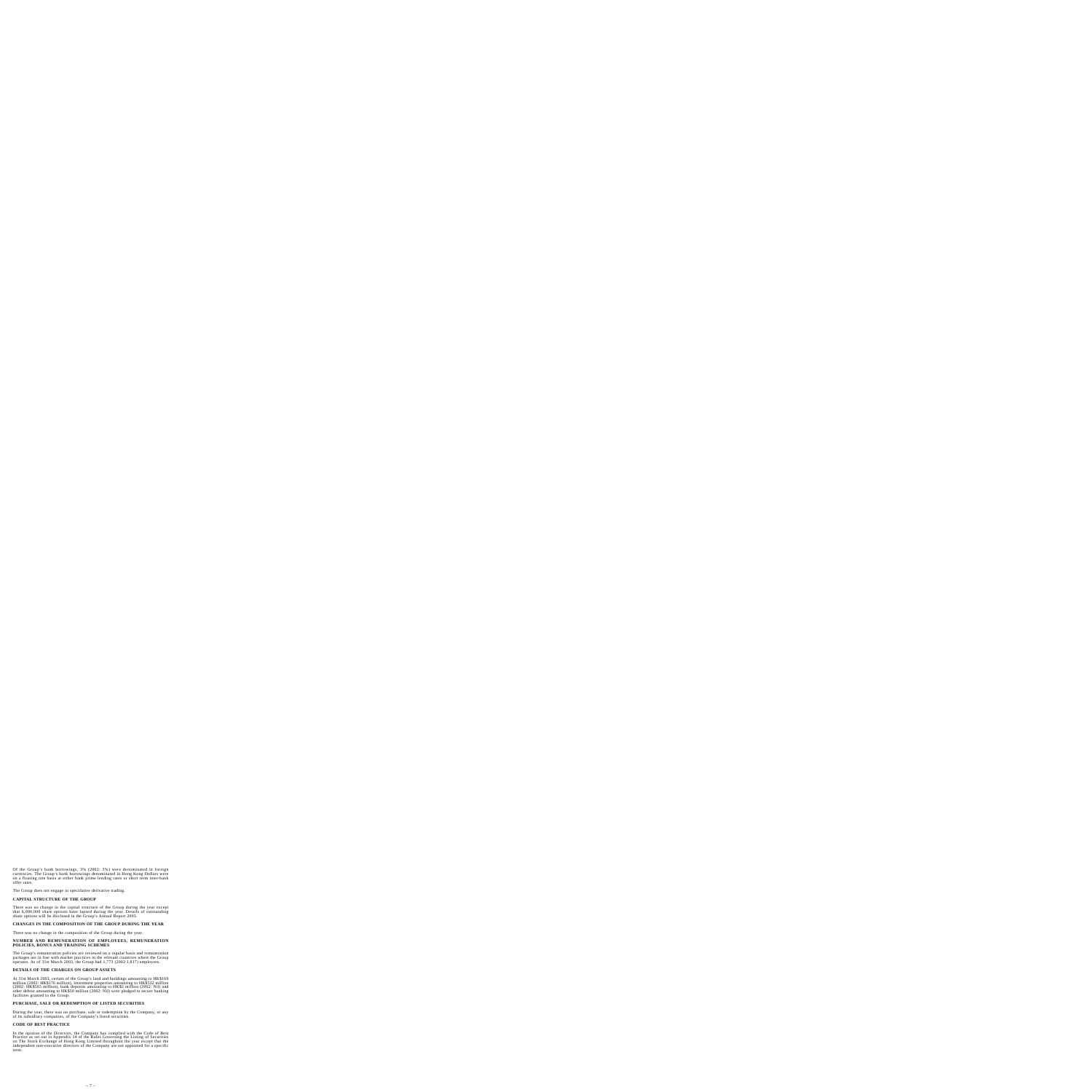Of the Group's bank borrowings, 3% (2002: 3%) were denominated in foreign currencies. The Group's bank borrowings denominated in Hong Kong Dollars were on a floating rate basis at either bank prime lending rates or short term inter-bank offer rates.

The Group does not engage in speculative derivative trading.

## **CAPITAL STRUCTURE OF THE GROUP**

There was no change in the capital structure of the Group during the year except that 6,000,000 share options have lapsed during the year. Details of outstanding share options will be disclosed in the Group's Annual Report 2003.

## **CHANGES IN THE COMPOSITION OF THE GROUP DURING THE YEAR**

There was no change in the composition of the Group during the year.

#### **NUMBER AND REMUNERATION OF EMPLOYEES, REMUNERATION POLICIES, BONUS AND TRAINING SCHEMES**

The Group's remuneration policies are reviewed on a regular basis and remuneration packages are in line with market practices in the relevant countries where the Group operates. As of 31st March 2003, the Group had 1,773 (2002:1,817) employees.

## **DETAILS OF THE CHARGES ON GROUP ASSETS**

At 31st March 2003, certain of the Group's land and buildings amounting to HK\$169 million (2002: HK\$176 million), investment properties amounting to HK\$532 million (2002: HK\$565 million), bank deposits amounting to HK\$2 million (2002: Nil) and other debtor amounting to HK\$50 million (2002: Nil) were pledged to secure banking facilities granted to the Group.

## **PURCHASE, SALE OR REDEMPTION OF LISTED SECURITIES**

During the year, there was no purchase, sale or redemption by the Company, or any of its subsidiary companies, of the Company's listed securities.

#### **CODE OF BEST PRACTICE**

In the opinion of the Directors, the Company has complied with the Code of Best Practice as set out in Appendix 14 of the Rules Governing the Listing of Securities on The Stock Exchange of Hong Kong Limited throughout the year except that the independent non-executive directors of the Company are not appointed for a specific term.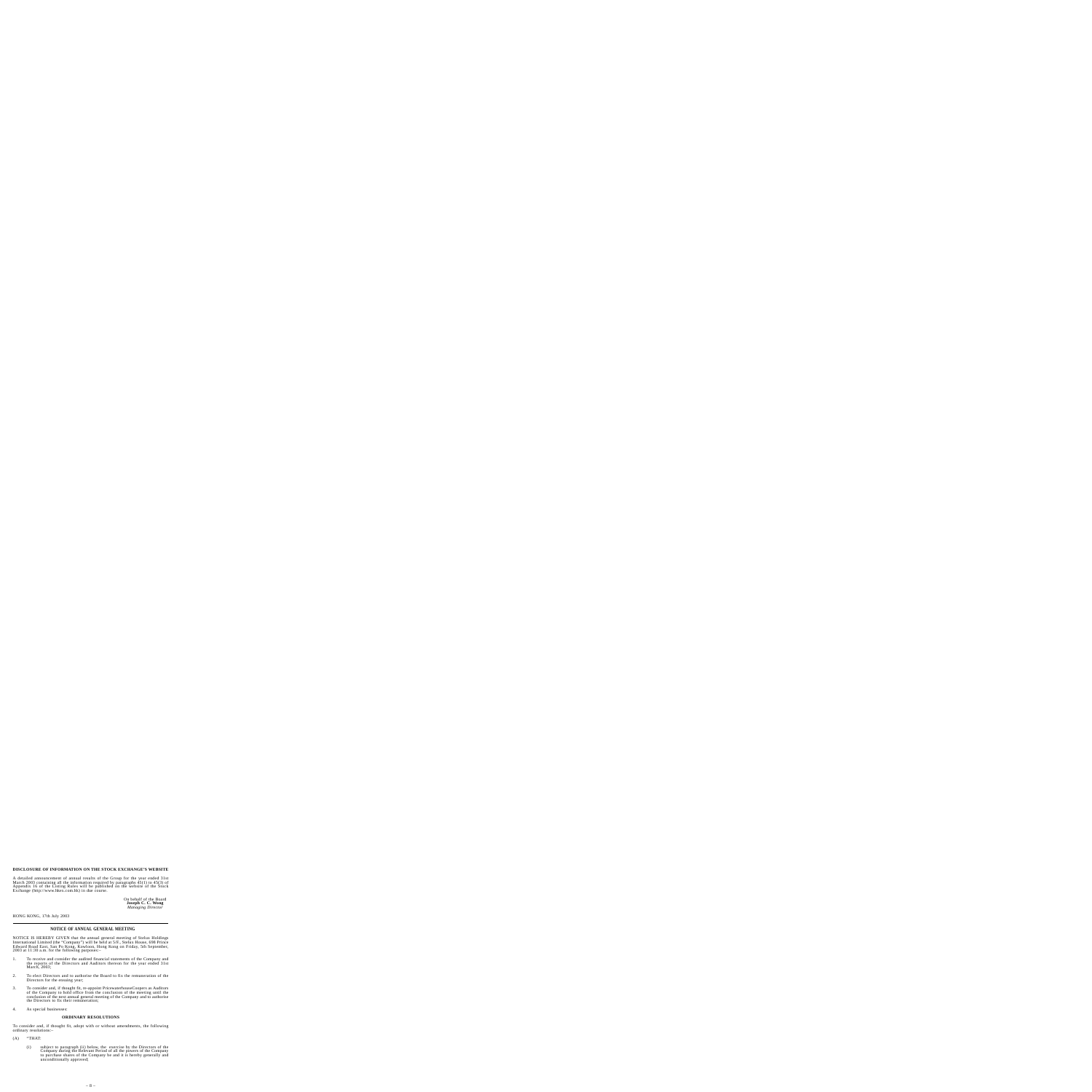#### **DISCLOSURE OF INFORMATION ON THE STOCK EXCHANGE'S WEBSITE**

A detailed announcement of annual results of the Group for the year ended 31st March 2003 containing all the information required by paragraphs 45(1) to 45(3) of Appendix 16 of the Listing Rules will be published on the website of the Stock Exchange (http://www.hkex.com.hk) in due course.

> On behalf of the Board **Joseph C. C. Wong** *Managing Director*

HONG KONG, 17th July 2003

# **NOTICE OF ANNUAL GENERAL MEETING**

NOTICE IS HEREBY GIVEN that the annual general meeting of Stelux Holdings International Limited (the "Company") will be held at 5/F., Stelux House, 698 Prince Edward Road East, San Po Kong, Kowloon, Hong Kong on Friday, 5th September, 2003 at 11:30 a.m. for the following purposes:–

- 1. To receive and consider the audited financial statements of the Company and the reports of the Directors and Auditors thereon for the year ended 31st March, 2003:
- 2. To elect Directors and to authorise the Board to fix the remuneration of the Directors for the ensuing year;
- 3. To consider and, if thought fit, re-appoint PricewaterhouseCoopers as Auditors of the Company to hold office from the conclusion of the meeting until the conclusion of the next annual general meeting of the Company and to authorise the Directors to fix their remuneration;
- 4. As special businesses:

#### **ORDINARY RESOLUTIONS**

To consider and, if thought fit, adopt with or without amendments, the following ordinary resolutions:–

- $(A)$  "THAT:
	- (i) subject to paragraph (ii) below, the exercise by the Directors of the Company during the Relevant Period of all the powers of the Company to purchase shares of the Company be and it is hereby generally and unconditionally approved;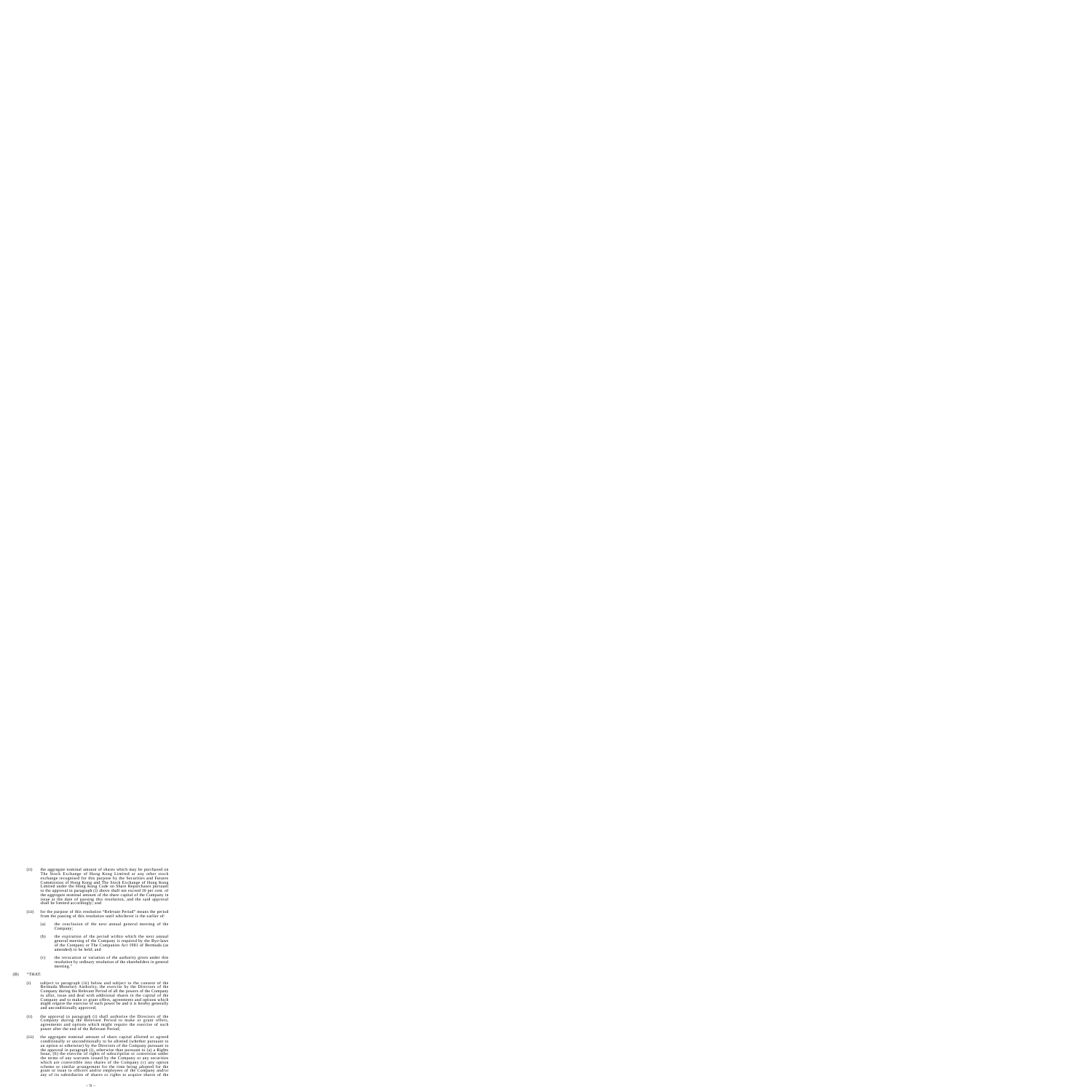- (ii) the aggregate nominal amount of shares which may be purchased on The Stock Exchange of Hong Kong Limited or any other stock exchange recognised for this purpose by the Securities and Futures Commission of Hong Kong and The Stock Exchange of Hong Kong Limited under the Hong Kong Code on Share Repurchases pursuant to the approval in paragraph (i) above shall not exceed 10 per cent. of the aggregate nominal amount of the share capital of the Company in issue at the date of passing this resolution, and the said approval shall be limited accordingly; and
- (iii) for the purpose of this resolution "Relevant Period" means the period from the passing of this resolution until whichever is the earlier of:
	- (a) the conclusion of the next annual general meeting of the Company;
	- (b) the expiration of the period within which the next annual general meeting of the Company is required by the Bye-laws of the Company or The Companies Act 1981 of Bermuda (as amended) to be held; and
	- (c) the revocation or variation of the authority given under this resolution by ordinary resolution of the shareholders in general meeting."
- $(B)$  "THAT:
	- (i) subject to paragraph (iii) below and subject to the consent of the Bermuda Monetary Authority, the exercise by the Directors of the Company during the Relevant Period of all the powers of the Company to allot, issue and deal with additional shares in the capital of the Company and to make or grant offers, agreements and options which might require the exercise of such power be and it is hereby generally and unconditionally approved;
	- (ii) the approval in paragraph (i) shall authorise the Directors of the Company during the Relevant Period to make or grant offers, agreements and options which might require the exercise of such power after the end of the Relevant Period;
	- (iii) the aggregate nominal amount of share capital allotted or agreed conditionally or unconditionally to be allotted (whether pursuant to an option or otherwise) by the Directors of the Company pursuant to the approval in paragraph (i), otherwise than pursuant to (a) a Rights Issue, (b) the exercise of rights of subscription or conversion under the terms of any warrants issued by the Company or any securities which are convertible into shares of the Company (c) any option scheme or similar arrangement for the time being adopted for the grant or issue to officers and/or employees of the Company and/or any of its subsidiaries of shares or rights to acquire shares of the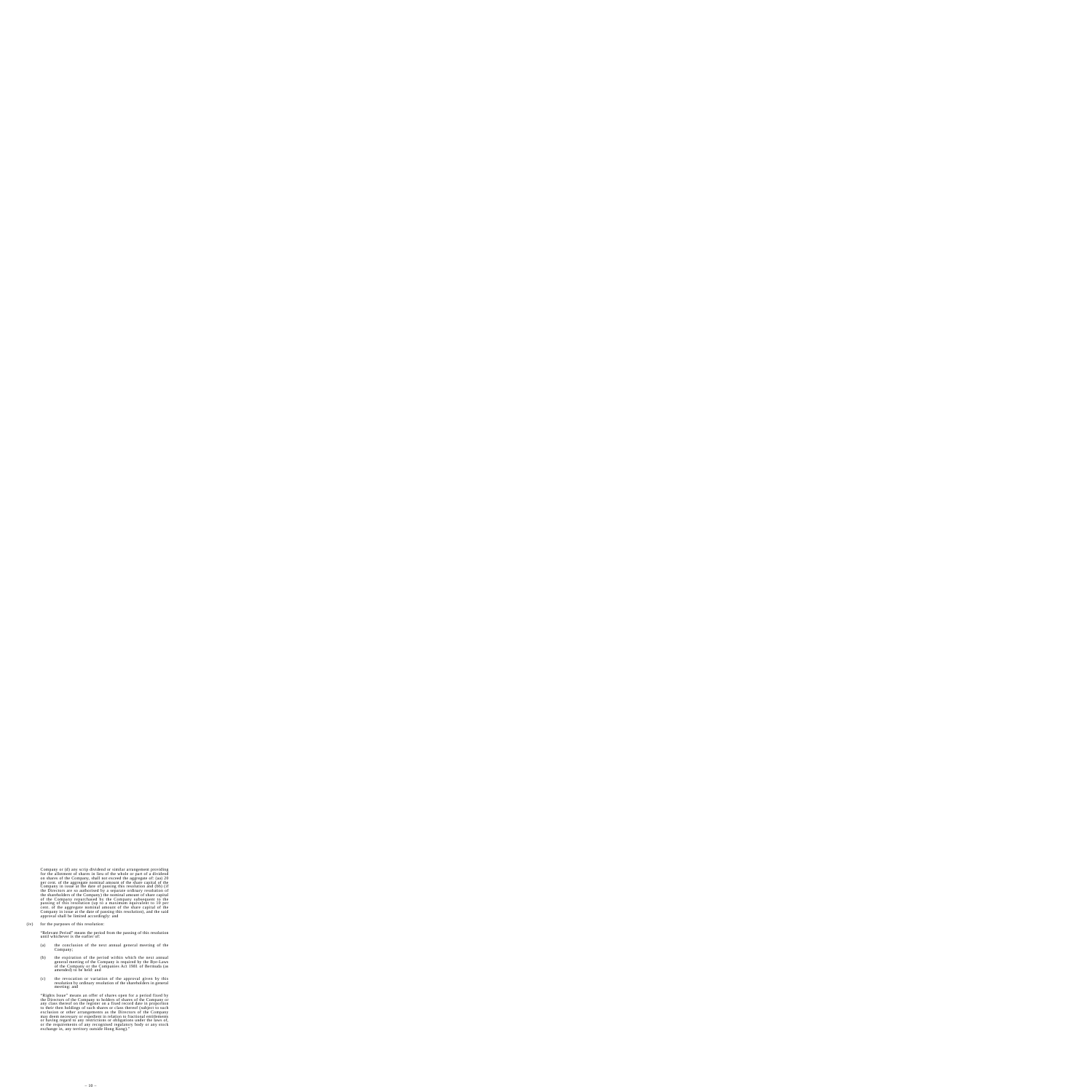Company or (d) any scrip dividend or similar arrangement providing for the allotment of shares in lieu of the whole or part of a dividend on shares of the Company, shall not exceed the aggregate of: (aa) 20 per cent. of the aggregate nominal amount of the share capital of the Company in issue at the date of passing this resolution and (bb) (if the Directors are so authorised by a separate ordinary resolution of the shareholders of the Company) the nominal amount of share capital of the Company repurchased by the Company subsequent to the passing of this resolution (up to a maximum equivalent to 10 per cent. of the aggregate nominal amount of the share capital of the Company in issue at the date of passing this resolution), and the said approval shall be limited accordingly: and

(iv) for the purposes of this resolution:

"Relevant Period" means the period from the passing of this resolution until whichever is the earlier of:

- (a) the conclusion of the next annual general meeting of the Company;
- (b) the expiration of the period within which the next annual general meeting of the Company is required by the Bye-Laws of the Company or the Companies Act 1981 of Bermuda (as amended) to be held: and
- (c) the revocation or variation of the approval given by this resolution by ordinary resolution of the shareholders in general meeting: and

"Rights Issue" means an offer of shares open for a period fixed by the Directors of the Company to holders of shares of the Company or any class thereof on the register on a fixed record date in proportion to their then holdings of such shares or class thereof (subject to such exclusion or other arrangements as the Directors of the Company may deem necessary or expedient in relation to fractional entitlements or having regard to any restrictions or obligations under the laws of, or the requirements of any recognised regulatory body or any stock exchange in, any territory outside Hong Kong)."